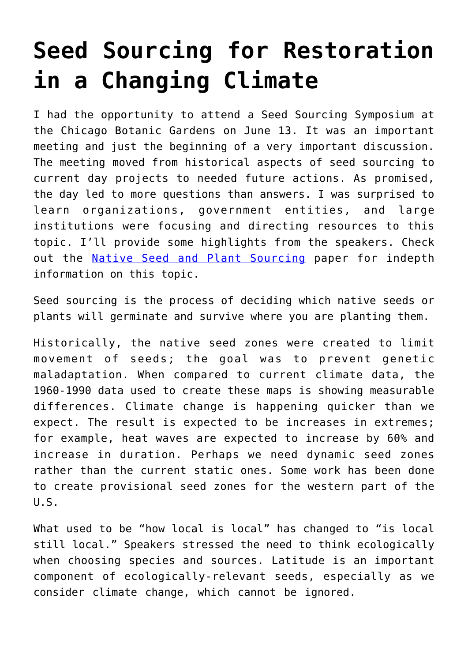## **[Seed Sourcing for Restoration](https://driftlessprairies.org/seed-sourcing-restoration-changing-climate/) [in a Changing Climate](https://driftlessprairies.org/seed-sourcing-restoration-changing-climate/)**

I had the opportunity to attend a Seed Sourcing Symposium at the Chicago Botanic Gardens on June 13. It was an important meeting and just the beginning of a very important discussion. The meeting moved from historical aspects of seed sourcing to current day projects to needed future actions. As promised, the day led to more questions than answers. I was surprised to learn organizations, government entities, and large institutions were focusing and directing resources to this topic. I'll provide some highlights from the speakers. Check out the [Native Seed and Plant Sourcing](http://www.driftlessprairies.org/ecological-restoration/native-seed-plant-sourcing/) paper for indepth information on this topic.

Seed sourcing is the process of deciding which native seeds or plants will germinate and survive where you are planting them.

Historically, the native seed zones were created to limit movement of seeds; the goal was to prevent genetic maladaptation. When compared to current climate data, the 1960-1990 data used to create these maps is showing measurable differences. Climate change is happening quicker than we expect. The result is expected to be increases in extremes; for example, heat waves are expected to increase by 60% and increase in duration. Perhaps we need dynamic seed zones rather than the current static ones. Some work has been done to create provisional seed zones for the western part of the U.S.

What used to be "how local is local" has changed to "is local still local." Speakers stressed the need to think ecologically when choosing species and sources. Latitude is an important component of ecologically-relevant seeds, especially as we consider climate change, which cannot be ignored.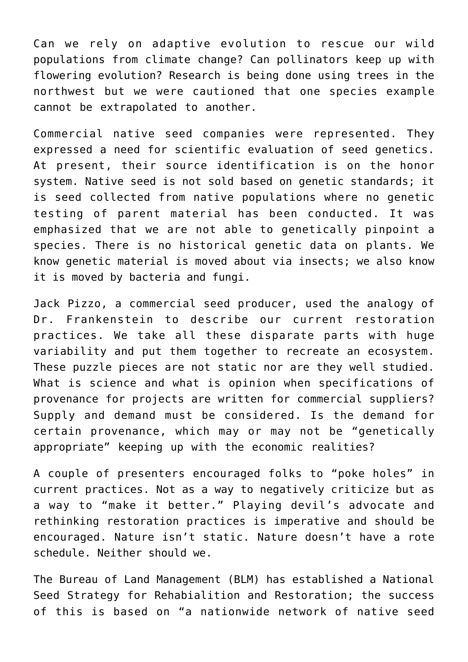Can we rely on adaptive evolution to rescue our wild populations from climate change? Can pollinators keep up with flowering evolution? Research is being done using trees in the northwest but we were cautioned that one species example cannot be extrapolated to another.

Commercial native seed companies were represented. They expressed a need for scientific evaluation of seed genetics. At present, their source identification is on the honor system. Native seed is not sold based on genetic standards; it is seed collected from native populations where no genetic testing of parent material has been conducted. It was emphasized that we are not able to genetically pinpoint a species. There is no historical genetic data on plants. We know genetic material is moved about via insects; we also know it is moved by bacteria and fungi.

Jack Pizzo, a commercial seed producer, used the analogy of Dr. Frankenstein to describe our current restoration practices. We take all these disparate parts with huge variability and put them together to recreate an ecosystem. These puzzle pieces are not static nor are they well studied. What is science and what is opinion when specifications of provenance for projects are written for commercial suppliers? Supply and demand must be considered. Is the demand for certain provenance, which may or may not be "genetically appropriate" keeping up with the economic realities?

A couple of presenters encouraged folks to "poke holes" in current practices. Not as a way to negatively criticize but as a way to "make it better." Playing devil's advocate and rethinking restoration practices is imperative and should be encouraged. Nature isn't static. Nature doesn't have a rote schedule. Neither should we.

The Bureau of Land Management (BLM) has established a National Seed Strategy for Rehabialition and Restoration; the success of this is based on "a nationwide network of native seed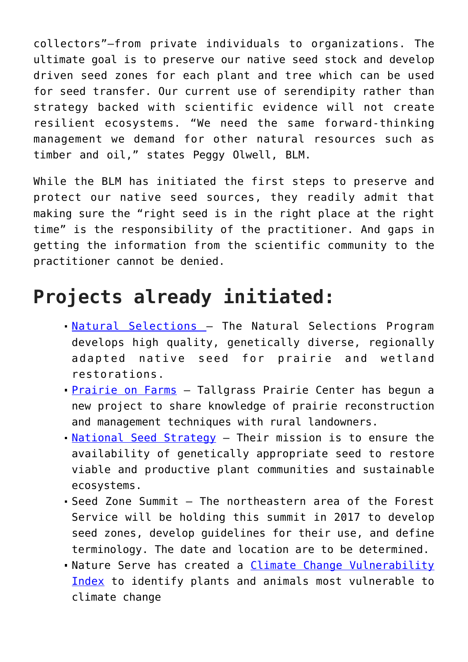collectors"—from private individuals to organizations. The ultimate goal is to preserve our native seed stock and develop driven seed zones for each plant and tree which can be used for seed transfer. Our current use of serendipity rather than strategy backed with scientific evidence will not create resilient ecosystems. "We need the same forward-thinking management we demand for other natural resources such as timber and oil," states Peggy Olwell, BLM.

While the BLM has initiated the first steps to preserve and protect our native seed sources, they readily admit that making sure the "right seed is in the right place at the right time" is the responsibility of the practitioner. And gaps in getting the information from the scientific community to the practitioner cannot be denied.

## **Projects already initiated:**

- [Natural Selections –](http://www.tallgrassprairiecenter.org/natural-selections) The Natural Selections Program develops high quality, genetically diverse, regionally adapted native seed for prairie and wetland restorations.
- **[Prairie on Farms](http://www.tallgrassprairiecenter.org/prairie-farms)** Tallgrass Prairie Center has begun a new project to share knowledge of prairie reconstruction and management techniques with rural landowners.
- [National Seed Strategy](https://www.blm.gov/sites/blm.gov/files/uploads/NationalSeedStrategy_MakingProgress_2018.pdf) Their mission is to ensure the availability of genetically appropriate seed to restore viable and productive plant communities and sustainable ecosystems.
- Seed Zone Summit The northeastern area of the Forest Service will be holding this summit in 2017 to develop seed zones, develop guidelines for their use, and define terminology. The date and location are to be determined.
- Nature Serve has created a [Climate Change Vulnerability](http://www.natureserve.org/conservation-tools/climate-change-vulnerability-index) [Index](http://www.natureserve.org/conservation-tools/climate-change-vulnerability-index) to identify plants and animals most vulnerable to climate change